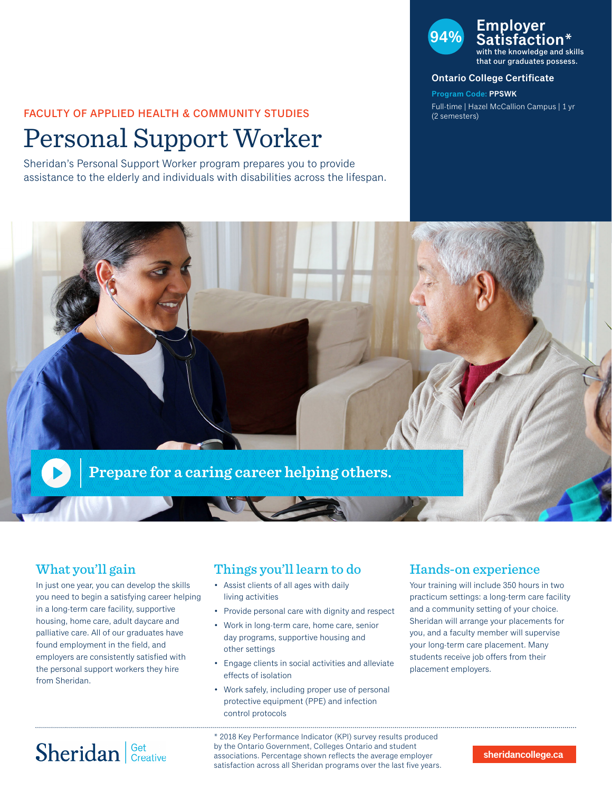# FACULTY OF APPLIED HEALTH & COMMUNITY STUDIES

# Personal Support Worker

Sheridan's Personal Support Worker program prepares you to provide assistance to the elderly and individuals with disabilities across the lifespan.

## **94% Employer Satisfaction\*** with the knowledge and skills

that our graduates possess.

#### **Ontario College Certificate**

**Program Code: PPSWK** Full-time | Hazel McCallion Campus | 1 yr (2 semesters)



### What you'll gain

In just one year, you can develop the skills you need to begin a satisfying career helping in a long-term care facility, supportive housing, home care, adult daycare and palliative care. All of our graduates have found employment in the field, and employers are consistently satisfied with the personal support workers they hire from Sheridan.

### Things you'll learn to do

- Assist clients of all ages with daily living activities
- Provide personal care with dignity and respect
- Work in long-term care, home care, senior day programs, supportive housing and other settings
- Engage clients in social activities and alleviate effects of isolation
- Work safely, including proper use of personal protective equipment (PPE) and infection control protocols

### Hands-on experience

Your training will include 350 hours in two practicum settings: a long-term care facility and a community setting of your choice. Sheridan will arrange your placements for you, and a faculty member will supervise your long-term care placement. Many students receive job offers from their placement employers.

# Sheridan Get Creative

\* 2018 Key Performance Indicator (KPI) survey results produced by the Ontario Government, Colleges Ontario and student associations. Percentage shown reflects the average employer satisfaction across all Sheridan programs over the last five years.